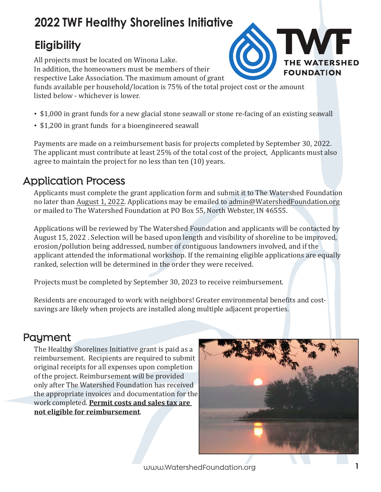# **2022 TWF Healthy Shorelines Initiative**

# **Eligibility**

All projects must be located on Winona Lake. In addition, the homeowners must be members of their respective Lake Association. The maximum amount of grant funds available per household/location is 75% of the total project cost or the amount

listed below - whichever is lower.

- \$1,000 in grant funds for a new glacial stone seawall or stone re-facing of an existing seawall
- \$1,200 in grant funds for a bioengineered seawall

Payments are made on a reimbursement basis for projects completed by September 30, 2022. The applicant must contribute at least 25% of the total cost of the project, Applicants must also agree to maintain the project for no less than ten (10) years.

## Application Process

Applicants must complete the grant application form and submit it to The Watershed Foundation no later than August 1, 2022. Applications may be emailed to admin@WatershedFoundation.org or mailed to The Watershed Foundation at PO Box 55, North Webster, IN 46555.

Applications will be reviewed by The Watershed Foundation and applicants will be contacted by August 15, 2022 . Selection will be based upon length and visibility of shoreline to be improved, erosion/pollution being addressed, number of contiguous landowners involved, and if the applicant attended the informational workshop. If the remaining eligible applications are equally ranked, selection will be determined in the order they were received.

Projects must be completed by September 30, 2023 to receive reimbursement.

Residents are encouraged to work with neighbors! Greater environmental benefits and costsavings are likely when projects are installed along multiple adjacent properties.

## Payment

The Healthy Shorelines Initiative grant is paid as a reimbursement. Recipients are required to submit original receipts for all expenses upon completion of the project. Reimbursement will be provided only after The Watershed Foundation has received the appropriate invoices and documentation for the work completed. **Permit costs and sales tax are not eligible for reimbursement**.



**THE WATERSHED** 

**FOUNDATION**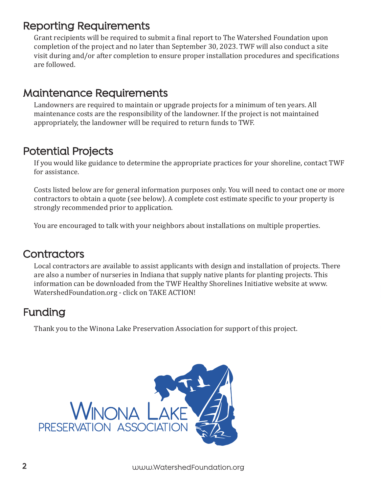#### Reporting Requirements

Grant recipients will be required to submit a final report to The Watershed Foundation upon completion of the project and no later than September 30, 2023. TWF will also conduct a site visit during and/or after completion to ensure proper installation procedures and specifications are followed.

#### Maintenance Requirements

Landowners are required to maintain or upgrade projects for a minimum of ten years. All maintenance costs are the responsibility of the landowner. If the project is not maintained appropriately, the landowner will be required to return funds to TWF.

## Potential Projects

If you would like guidance to determine the appropriate practices for your shoreline, contact TWF for assistance.

Costs listed below are for general information purposes only. You will need to contact one or more contractors to obtain a quote (see below). A complete cost estimate specific to your property is strongly recommended prior to application.

You are encouraged to talk with your neighbors about installations on multiple properties.

## **Contractors**

Local contractors are available to assist applicants with design and installation of projects. There are also a number of nurseries in Indiana that supply native plants for planting projects. This information can be downloaded from the TWF Healthy Shorelines Initiative website at www. WatershedFoundation.org - click on TAKE ACTION!

#### Funding

Thank you to the Winona Lake Preservation Association for support of this project.

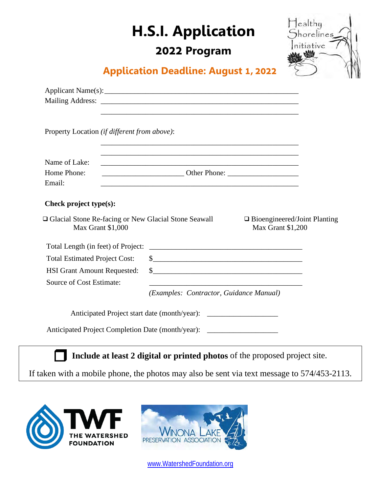# **H.S.I. Application**

#### **2022 Program**



#### **Application Deadline: August 1, 2022**

|                                                                             | <u> 1989 - Johann Barn, amerikansk politiker (d. 1989)</u>                                                       |  |
|-----------------------------------------------------------------------------|------------------------------------------------------------------------------------------------------------------|--|
| Property Location (if different from above):                                |                                                                                                                  |  |
| Name of Lake:                                                               |                                                                                                                  |  |
| Home Phone:                                                                 | <b>Example 2018</b> Other Phone:                                                                                 |  |
| Email:                                                                      | and the control of the control of the control of the control of the control of the control of the control of the |  |
| Check project type(s):                                                      |                                                                                                                  |  |
| □ Glacial Stone Re-facing or New Glacial Stone Seawall<br>Max Grant \$1,000 | $\Box$ Bioengineered/Joint Planting<br>Max Grant \$1,200                                                         |  |
| Total Length (in feet) of Project:                                          |                                                                                                                  |  |
| <b>Total Estimated Project Cost:</b>                                        | $\frac{1}{2}$                                                                                                    |  |
| <b>HSI Grant Amount Requested:</b>                                          | $\frac{\text{S}}{\text{S}}$                                                                                      |  |
| Source of Cost Estimate:                                                    |                                                                                                                  |  |
|                                                                             | (Examples: Contractor, Guidance Manual)                                                                          |  |
|                                                                             |                                                                                                                  |  |
|                                                                             | Anticipated Project Completion Date (month/year): _______________________________                                |  |
|                                                                             | Include at least 2 digital or printed photos of the proposed project site.                                       |  |

If taken with a mobile phone, the photos may also be sent via text message to 574/453-2113.





[www.WatershedFoundation.org](http://www.watershedfoundation.org/)